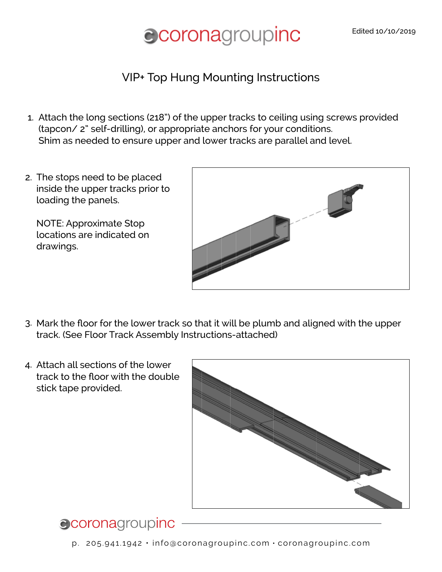# **Corona**groupinc

### VIP+ Top Hung Mounting Instructions

- Attach the long sections (218") of the upper tracks to ceiling using screws provided 1. (tapcon/ 2" self-drilling), or appropriate anchors for your conditions. Shim as needed to ensure upper and lower tracks are parallel and level.
- 2. The stops need to be placed inside the upper tracks prior to loading the panels.

NOTE: Approximate Stop locations are indicated on drawings.



- Mark the floor for the lower track so that it will be plumb and aligned with the upper 3. track. (See Floor Track Assembly Instructions-attached)
- 4. Attach all sections of the lower track to the floor with the double stick tape provided.



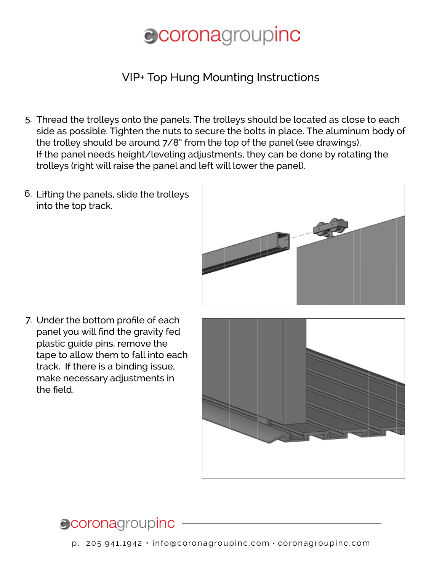# **ecoronagroupinc**

## VIP+ Top Hung Mounting Instructions

- Thread the trolleys onto the panels. The trolleys should be located as close to each 5. side as possible. Tighten the nuts to secure the bolts in place. The aluminum body of the trolley should be around 7/8" from the top of the panel (see drawings). If the panel needs height/leveling adjustments, they can be done by rotating the trolleys (right will raise the panel and left will lower the panel).
- 6. Lifting the panels, slide the trolleys into the top track.



7. Under the bottom profile of each panel you will find the gravity fed plastic guide pins, remove the tape to allow them to fall into each track. If there is a binding issue, make necessary adjustments in the field.



# **Coronagroupinc**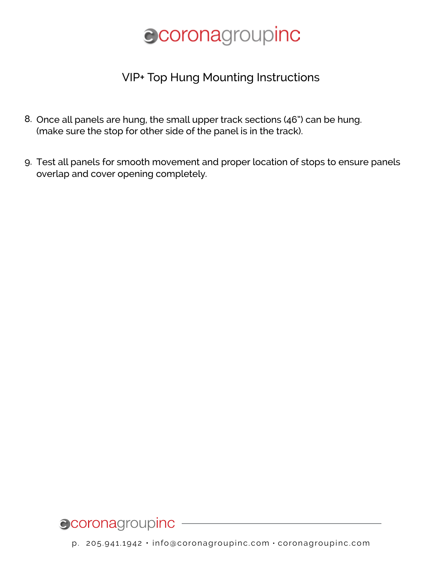# **Coronagroupinc**

### VIP+ Top Hung Mounting Instructions

- 8. Once all panels are hung, the small upper track sections (46") can be hung. (make sure the stop for other side of the panel is in the track).
- Test all panels for smooth movement and proper location of stops to ensure panels 9.overlap and cover opening completely.